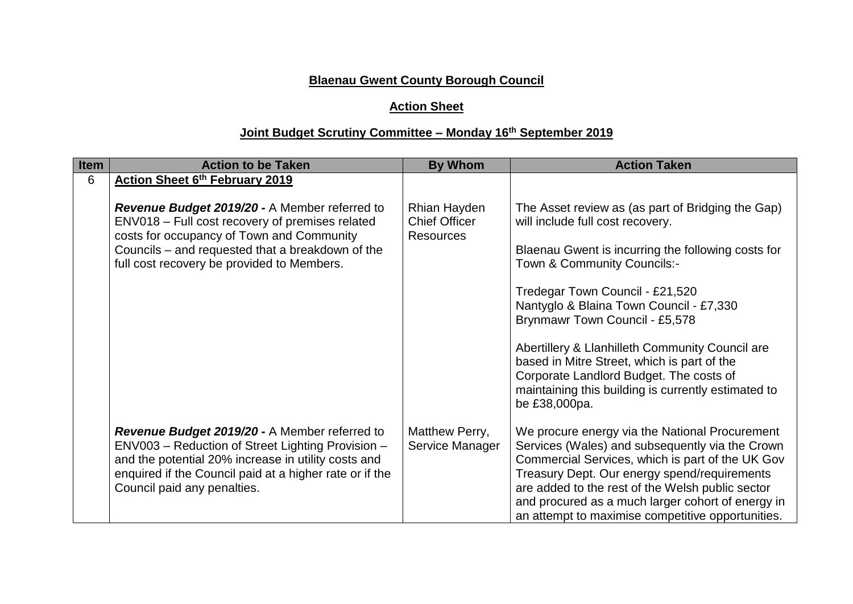## **Blaenau Gwent County Borough Council**

## **Action Sheet**

## **Joint Budget Scrutiny Committee – Monday 16th September 2019**

| Item | <b>Action to be Taken</b>                                                                                                                                                                                                                           | <b>By Whom</b>                       | <b>Action Taken</b>                                                                                                                                                                                                                                                                                                                                                 |  |  |
|------|-----------------------------------------------------------------------------------------------------------------------------------------------------------------------------------------------------------------------------------------------------|--------------------------------------|---------------------------------------------------------------------------------------------------------------------------------------------------------------------------------------------------------------------------------------------------------------------------------------------------------------------------------------------------------------------|--|--|
| 6    | Action Sheet 6th February 2019                                                                                                                                                                                                                      |                                      |                                                                                                                                                                                                                                                                                                                                                                     |  |  |
|      | Revenue Budget 2019/20 - A Member referred to<br>ENV018 - Full cost recovery of premises related                                                                                                                                                    | Rhian Hayden<br><b>Chief Officer</b> | The Asset review as (as part of Bridging the Gap)<br>will include full cost recovery.                                                                                                                                                                                                                                                                               |  |  |
|      | costs for occupancy of Town and Community<br>Councils – and requested that a breakdown of the<br>full cost recovery be provided to Members.                                                                                                         | <b>Resources</b>                     | Blaenau Gwent is incurring the following costs for<br>Town & Community Councils:-                                                                                                                                                                                                                                                                                   |  |  |
|      |                                                                                                                                                                                                                                                     |                                      | Tredegar Town Council - £21,520<br>Nantyglo & Blaina Town Council - £7,330<br>Brynmawr Town Council - £5,578                                                                                                                                                                                                                                                        |  |  |
|      |                                                                                                                                                                                                                                                     |                                      | Abertillery & Llanhilleth Community Council are<br>based in Mitre Street, which is part of the<br>Corporate Landlord Budget. The costs of<br>maintaining this building is currently estimated to<br>be £38,000pa.                                                                                                                                                   |  |  |
|      | Revenue Budget 2019/20 - A Member referred to<br>ENV003 - Reduction of Street Lighting Provision -<br>and the potential 20% increase in utility costs and<br>enquired if the Council paid at a higher rate or if the<br>Council paid any penalties. | Matthew Perry,<br>Service Manager    | We procure energy via the National Procurement<br>Services (Wales) and subsequently via the Crown<br>Commercial Services, which is part of the UK Gov<br>Treasury Dept. Our energy spend/requirements<br>are added to the rest of the Welsh public sector<br>and procured as a much larger cohort of energy in<br>an attempt to maximise competitive opportunities. |  |  |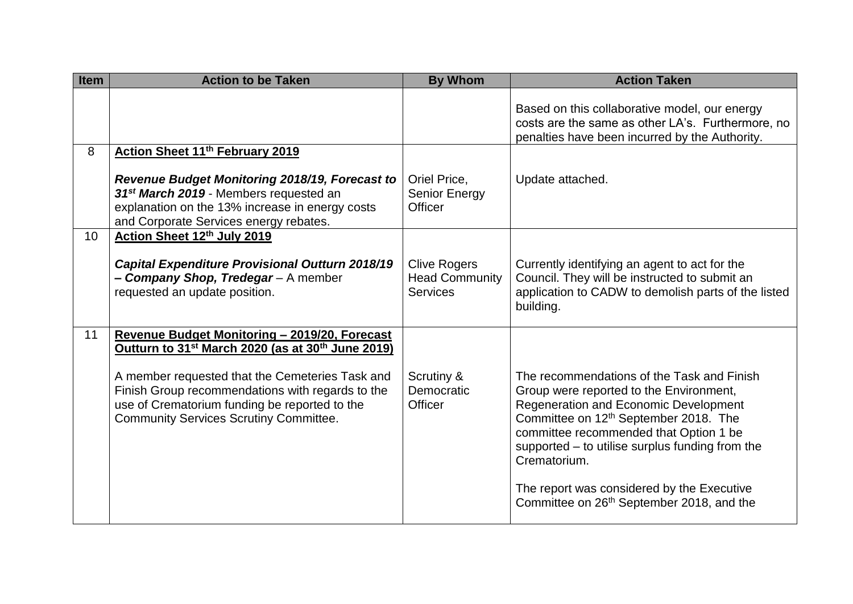| <b>Item</b> | <b>Action to be Taken</b>                                                                                                                                                                                                                                                          | <b>By Whom</b>                                                  | <b>Action Taken</b>                                                                                                                                                                                                                                                                                                                                                                                     |  |  |
|-------------|------------------------------------------------------------------------------------------------------------------------------------------------------------------------------------------------------------------------------------------------------------------------------------|-----------------------------------------------------------------|---------------------------------------------------------------------------------------------------------------------------------------------------------------------------------------------------------------------------------------------------------------------------------------------------------------------------------------------------------------------------------------------------------|--|--|
|             |                                                                                                                                                                                                                                                                                    |                                                                 | Based on this collaborative model, our energy<br>costs are the same as other LA's. Furthermore, no<br>penalties have been incurred by the Authority.                                                                                                                                                                                                                                                    |  |  |
| 8           | Action Sheet 11th February 2019                                                                                                                                                                                                                                                    |                                                                 |                                                                                                                                                                                                                                                                                                                                                                                                         |  |  |
|             | Revenue Budget Monitoring 2018/19, Forecast to<br>31 <sup>st</sup> March 2019 - Members requested an<br>explanation on the 13% increase in energy costs<br>and Corporate Services energy rebates.                                                                                  | Oriel Price,<br>Senior Energy<br>Officer                        | Update attached.                                                                                                                                                                                                                                                                                                                                                                                        |  |  |
| 10          | Action Sheet 12th July 2019                                                                                                                                                                                                                                                        |                                                                 |                                                                                                                                                                                                                                                                                                                                                                                                         |  |  |
|             | <b>Capital Expenditure Provisional Outturn 2018/19</b><br>- Company Shop, Tredegar - A member<br>requested an update position.                                                                                                                                                     | <b>Clive Rogers</b><br><b>Head Community</b><br><b>Services</b> | Currently identifying an agent to act for the<br>Council. They will be instructed to submit an<br>application to CADW to demolish parts of the listed<br>building.                                                                                                                                                                                                                                      |  |  |
| 11          | Revenue Budget Monitoring - 2019/20, Forecast                                                                                                                                                                                                                                      |                                                                 |                                                                                                                                                                                                                                                                                                                                                                                                         |  |  |
|             | Outturn to 31 <sup>st</sup> March 2020 (as at 30 <sup>th</sup> June 2019)<br>A member requested that the Cemeteries Task and<br>Finish Group recommendations with regards to the<br>use of Crematorium funding be reported to the<br><b>Community Services Scrutiny Committee.</b> | Scrutiny &<br>Democratic<br>Officer                             | The recommendations of the Task and Finish<br>Group were reported to the Environment,<br>Regeneration and Economic Development<br>Committee on 12 <sup>th</sup> September 2018. The<br>committee recommended that Option 1 be<br>supported – to utilise surplus funding from the<br>Crematorium.<br>The report was considered by the Executive<br>Committee on 26 <sup>th</sup> September 2018, and the |  |  |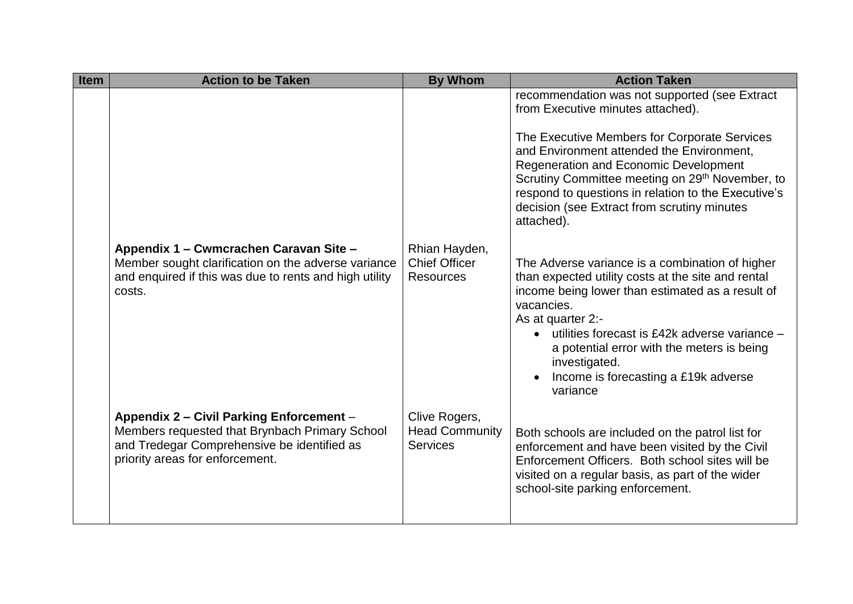| <b>Item</b> | <b>Action to be Taken</b>                                                                                                                                                    | <b>By Whom</b>                                            | <b>Action Taken</b>                                                                                                                                                                                                                                                                                                                                              |
|-------------|------------------------------------------------------------------------------------------------------------------------------------------------------------------------------|-----------------------------------------------------------|------------------------------------------------------------------------------------------------------------------------------------------------------------------------------------------------------------------------------------------------------------------------------------------------------------------------------------------------------------------|
|             |                                                                                                                                                                              |                                                           | recommendation was not supported (see Extract<br>from Executive minutes attached).                                                                                                                                                                                                                                                                               |
|             |                                                                                                                                                                              |                                                           | The Executive Members for Corporate Services<br>and Environment attended the Environment,<br><b>Regeneration and Economic Development</b><br>Scrutiny Committee meeting on 29 <sup>th</sup> November, to<br>respond to questions in relation to the Executive's<br>decision (see Extract from scrutiny minutes<br>attached).                                     |
|             | Appendix 1 – Cwmcrachen Caravan Site –<br>Member sought clarification on the adverse variance<br>and enquired if this was due to rents and high utility<br>costs.            | Rhian Hayden,<br><b>Chief Officer</b><br><b>Resources</b> | The Adverse variance is a combination of higher<br>than expected utility costs at the site and rental<br>income being lower than estimated as a result of<br>vacancies.<br>As at quarter 2:-<br>utilities forecast is £42k adverse variance -<br>a potential error with the meters is being<br>investigated.<br>Income is forecasting a £19k adverse<br>variance |
|             | Appendix 2 - Civil Parking Enforcement -<br>Members requested that Brynbach Primary School<br>and Tredegar Comprehensive be identified as<br>priority areas for enforcement. | Clive Rogers,<br><b>Head Community</b><br><b>Services</b> | Both schools are included on the patrol list for<br>enforcement and have been visited by the Civil<br>Enforcement Officers. Both school sites will be<br>visited on a regular basis, as part of the wider<br>school-site parking enforcement.                                                                                                                    |